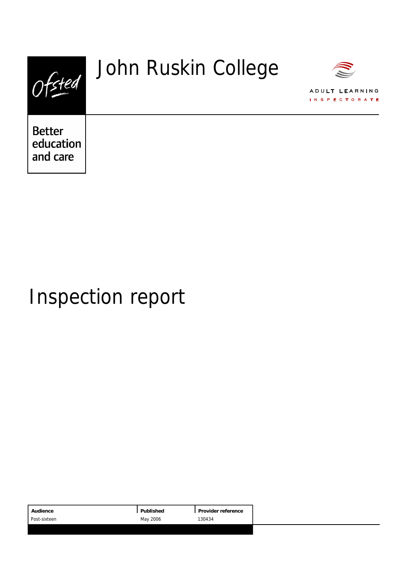

# Inspection report

| Published<br>Audience<br>Provider reference |
|---------------------------------------------|
| May 2006<br>130434<br>Post-sixteen          |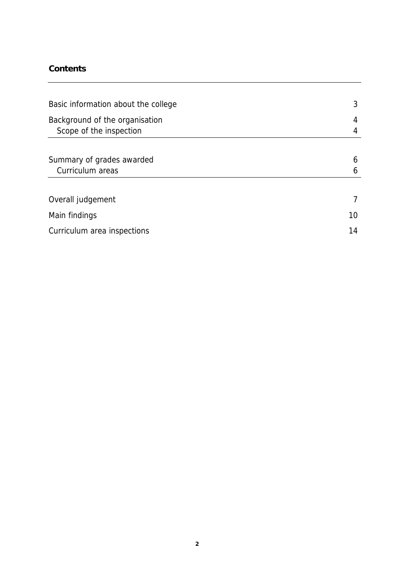### **Contents**

| Basic information about the college                       | 3  |
|-----------------------------------------------------------|----|
| Background of the organisation<br>Scope of the inspection | 4  |
|                                                           |    |
| Summary of grades awarded                                 | 6  |
| Curriculum areas                                          | 6  |
|                                                           |    |
| Overall judgement                                         |    |
| Main findings                                             | 10 |
| Curriculum area inspections                               | 14 |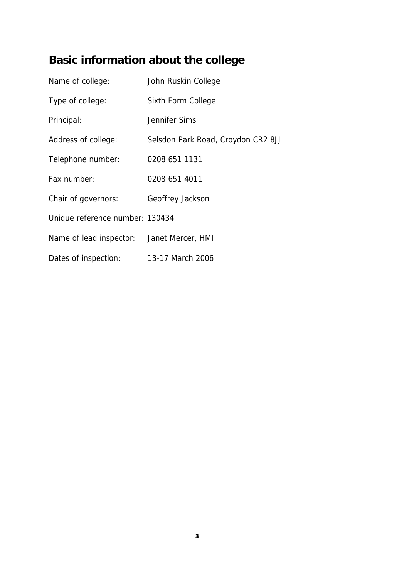## **Basic information about the college**

| Name of college:                          | John Ruskin College                |
|-------------------------------------------|------------------------------------|
| Type of college:                          | Sixth Form College                 |
| Principal:                                | Jennifer Sims                      |
| Address of college:                       | Selsdon Park Road, Croydon CR2 8JJ |
| Telephone number:                         | 0208 651 1131                      |
| Fax number:                               | 0208 651 4011                      |
| Chair of governors:                       | Geoffrey Jackson                   |
| Unique reference number: 130434           |                                    |
| Name of lead inspector: Janet Mercer, HMI |                                    |
| Dates of inspection:                      | 13-17 March 2006                   |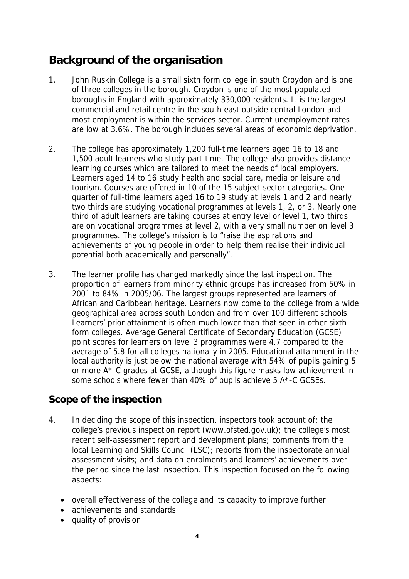### **Background of the organisation**

- 1. John Ruskin College is a small sixth form college in south Croydon and is one of three colleges in the borough. Croydon is one of the most populated boroughs in England with approximately 330,000 residents. It is the largest commercial and retail centre in the south east outside central London and most employment is within the services sector. Current unemployment rates are low at 3.6%. The borough includes several areas of economic deprivation.
- 2. The college has approximately 1,200 full-time learners aged 16 to 18 and 1,500 adult learners who study part-time. The college also provides distance learning courses which are tailored to meet the needs of local employers. Learners aged 14 to 16 study health and social care, media or leisure and tourism. Courses are offered in 10 of the 15 subject sector categories. One quarter of full-time learners aged 16 to 19 study at levels 1 and 2 and nearly two thirds are studying vocational programmes at levels 1, 2, or 3. Nearly one third of adult learners are taking courses at entry level or level 1, two thirds are on vocational programmes at level 2, with a very small number on level 3 programmes. The college's mission is to "raise the aspirations and achievements of young people in order to help them realise their individual potential both academically and personally".
- 3. The learner profile has changed markedly since the last inspection. The proportion of learners from minority ethnic groups has increased from 50% in 2001 to 84% in 2005/06. The largest groups represented are learners of African and Caribbean heritage. Learners now come to the college from a wide geographical area across south London and from over 100 different schools. Learners' prior attainment is often much lower than that seen in other sixth form colleges. Average General Certificate of Secondary Education (GCSE) point scores for learners on level 3 programmes were 4.7 compared to the average of 5.8 for all colleges nationally in 2005. Educational attainment in the local authority is just below the national average with 54% of pupils gaining 5 or more A\*-C grades at GCSE, although this figure masks low achievement in some schools where fewer than 40% of pupils achieve 5 A\*-C GCSEs.

### **Scope of the inspection**

- 4. In deciding the scope of this inspection, inspectors took account of: the college's previous inspection report (www.ofsted.gov.uk); the college's most recent self-assessment report and development plans; comments from the local Learning and Skills Council (LSC); reports from the inspectorate annual assessment visits; and data on enrolments and learners' achievements over the period since the last inspection. This inspection focused on the following aspects:
	- overall effectiveness of the college and its capacity to improve further
	- achievements and standards
	- quality of provision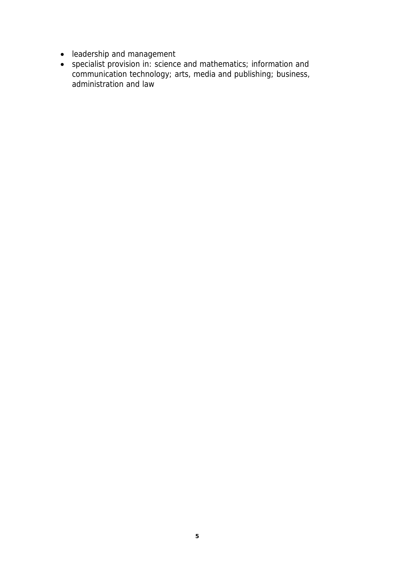- leadership and management
- specialist provision in: science and mathematics; information and communication technology; arts, media and publishing; business, administration and law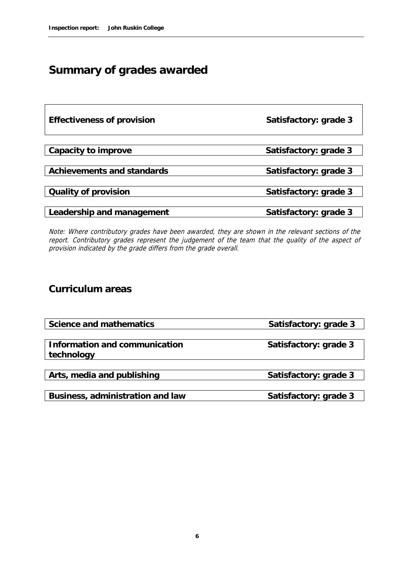## **Summary of grades awarded**

| Effectiveness of provision | Satisfactory: grade 3 |  |  |  |
|----------------------------|-----------------------|--|--|--|
|                            |                       |  |  |  |
| Capacity to improve        | Satisfactory: grade 3 |  |  |  |
|                            |                       |  |  |  |
| Achievements and standards | Satisfactory: grade 3 |  |  |  |
|                            |                       |  |  |  |
| Quality of provision       | Satisfactory: grade 3 |  |  |  |
|                            |                       |  |  |  |
| Leadership and management  | Satisfactory: grade 3 |  |  |  |

Note: Where contributory grades have been awarded, they are shown in the relevant sections of the report. Contributory grades represent the judgement of the team that the quality of the aspect of provision indicated by the grade differs from the grade overall.

#### **Curriculum areas**

| Science and mathematics       | Satisfactory: grade 3 |
|-------------------------------|-----------------------|
|                               |                       |
| Information and communication | Satisfactory: grade 3 |
| technology                    |                       |
|                               |                       |
| Arts, media and publishing    | Satisfactory: grade 3 |
|                               |                       |

Business, administration and law Satisfactory: grade 3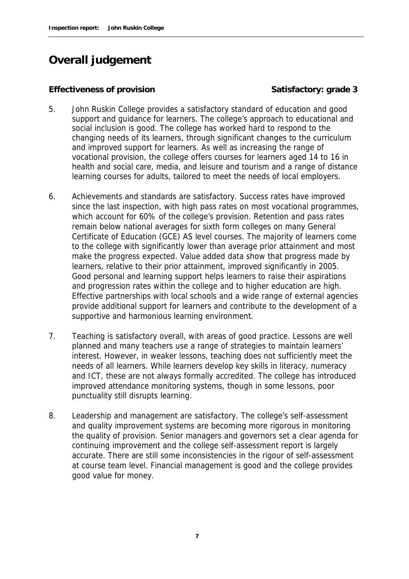### **Overall judgement**

#### **Effectiveness of provision Satisfactory: grade 3**

- 5. John Ruskin College provides a satisfactory standard of education and good support and guidance for learners. The college's approach to educational and social inclusion is good. The college has worked hard to respond to the changing needs of its learners, through significant changes to the curriculum and improved support for learners. As well as increasing the range of vocational provision, the college offers courses for learners aged 14 to 16 in health and social care, media, and leisure and tourism and a range of distance learning courses for adults, tailored to meet the needs of local employers.
- 6. Achievements and standards are satisfactory. Success rates have improved since the last inspection, with high pass rates on most vocational programmes, which account for 60% of the college's provision. Retention and pass rates remain below national averages for sixth form colleges on many General Certificate of Education (GCE) AS level courses. The majority of learners come to the college with significantly lower than average prior attainment and most make the progress expected. Value added data show that progress made by learners, relative to their prior attainment, improved significantly in 2005. Good personal and learning support helps learners to raise their aspirations and progression rates within the college and to higher education are high. Effective partnerships with local schools and a wide range of external agencies provide additional support for learners and contribute to the development of a supportive and harmonious learning environment.
- 7. Teaching is satisfactory overall, with areas of good practice. Lessons are well planned and many teachers use a range of strategies to maintain learners' interest. However, in weaker lessons, teaching does not sufficiently meet the needs of all learners. While learners develop key skills in literacy, numeracy and ICT, these are not always formally accredited. The college has introduced improved attendance monitoring systems, though in some lessons, poor punctuality still disrupts learning.
- 8. Leadership and management are satisfactory. The college's self-assessment and quality improvement systems are becoming more rigorous in monitoring the quality of provision. Senior managers and governors set a clear agenda for continuing improvement and the college self-assessment report is largely accurate. There are still some inconsistencies in the rigour of self-assessment at course team level. Financial management is good and the college provides good value for money.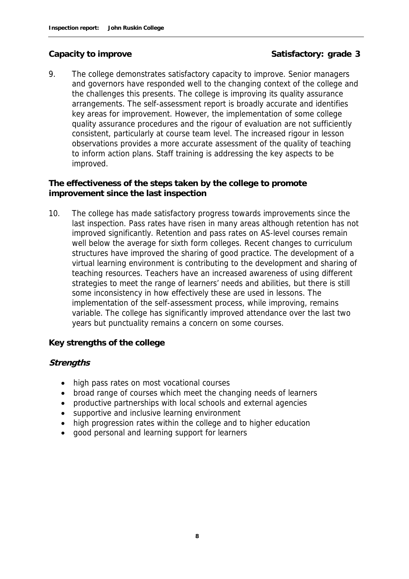#### Capacity to improve **Satisfactory:** grade 3

9. The college demonstrates satisfactory capacity to improve. Senior managers and governors have responded well to the changing context of the college and the challenges this presents. The college is improving its quality assurance arrangements. The self-assessment report is broadly accurate and identifies key areas for improvement. However, the implementation of some college quality assurance procedures and the rigour of evaluation are not sufficiently consistent, particularly at course team level. The increased rigour in lesson observations provides a more accurate assessment of the quality of teaching to inform action plans. Staff training is addressing the key aspects to be improved.

**The effectiveness of the steps taken by the college to promote improvement since the last inspection**

10. The college has made satisfactory progress towards improvements since the last inspection. Pass rates have risen in many areas although retention has not improved significantly. Retention and pass rates on AS-level courses remain well below the average for sixth form colleges. Recent changes to curriculum structures have improved the sharing of good practice. The development of a virtual learning environment is contributing to the development and sharing of teaching resources. Teachers have an increased awareness of using different strategies to meet the range of learners' needs and abilities, but there is still some inconsistency in how effectively these are used in lessons. The implementation of the self-assessment process, while improving, remains variable. The college has significantly improved attendance over the last two years but punctuality remains a concern on some courses.

**Key strengths of the college**

#### **Strengths**

- high pass rates on most vocational courses
- broad range of courses which meet the changing needs of learners
- productive partnerships with local schools and external agencies
- supportive and inclusive learning environment
- high progression rates within the college and to higher education
- good personal and learning support for learners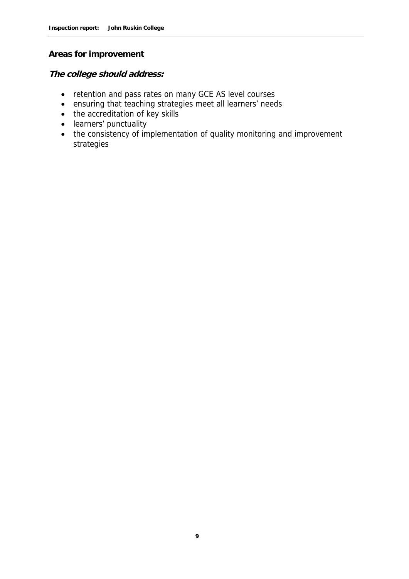#### **Areas for improvement**

**The college should address:**

- retention and pass rates on many GCE AS level courses
- ensuring that teaching strategies meet all learners' needs
- the accreditation of key skills
- learners' punctuality
- the consistency of implementation of quality monitoring and improvement strategies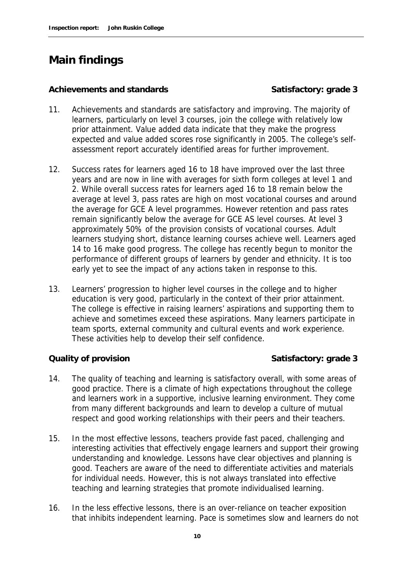### **Main findings**

#### Achievements and standards<br> **Satisfactory: grade 3**

- 11. Achievements and standards are satisfactory and improving. The majority of learners, particularly on level 3 courses, join the college with relatively low prior attainment. Value added data indicate that they make the progress expected and value added scores rose significantly in 2005. The college's selfassessment report accurately identified areas for further improvement.
- 12. Success rates for learners aged 16 to 18 have improved over the last three years and are now in line with averages for sixth form colleges at level 1 and 2. While overall success rates for learners aged 16 to 18 remain below the average at level 3, pass rates are high on most vocational courses and around the average for GCE A level programmes. However retention and pass rates remain significantly below the average for GCE AS level courses. At level 3 approximately 50% of the provision consists of vocational courses. Adult learners studying short, distance learning courses achieve well. Learners aged 14 to 16 make good progress. The college has recently begun to monitor the performance of different groups of learners by gender and ethnicity. It is too early yet to see the impact of any actions taken in response to this.
- 13. Learners' progression to higher level courses in the college and to higher education is very good, particularly in the context of their prior attainment. The college is effective in raising learners' aspirations and supporting them to achieve and sometimes exceed these aspirations. Many learners participate in team sports, external community and cultural events and work experience. These activities help to develop their self confidence.

**Quality of provision Satisfactory: grade 3** 

- 14. The quality of teaching and learning is satisfactory overall, with some areas of good practice. There is a climate of high expectations throughout the college and learners work in a supportive, inclusive learning environment. They come from many different backgrounds and learn to develop a culture of mutual respect and good working relationships with their peers and their teachers.
- 15. In the most effective lessons, teachers provide fast paced, challenging and interesting activities that effectively engage learners and support their growing understanding and knowledge. Lessons have clear objectives and planning is good. Teachers are aware of the need to differentiate activities and materials for individual needs. However, this is not always translated into effective teaching and learning strategies that promote individualised learning.
- 16. In the less effective lessons, there is an over-reliance on teacher exposition that inhibits independent learning. Pace is sometimes slow and learners do not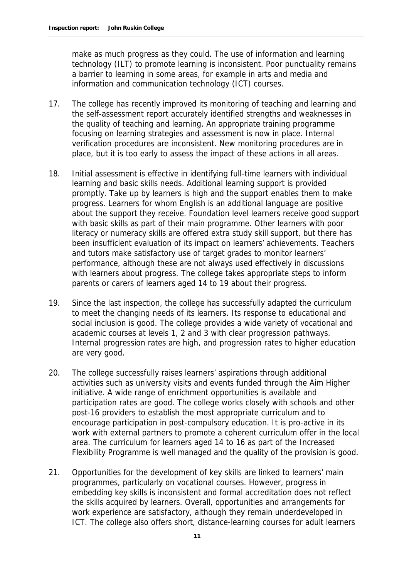make as much progress as they could. The use of information and learning technology (ILT) to promote learning is inconsistent. Poor punctuality remains a barrier to learning in some areas, for example in arts and media and information and communication technology (ICT) courses.

- 17. The college has recently improved its monitoring of teaching and learning and the self-assessment report accurately identified strengths and weaknesses in the quality of teaching and learning. An appropriate training programme focusing on learning strategies and assessment is now in place. Internal verification procedures are inconsistent. New monitoring procedures are in place, but it is too early to assess the impact of these actions in all areas.
- 18. Initial assessment is effective in identifying full-time learners with individual learning and basic skills needs. Additional learning support is provided promptly. Take up by learners is high and the support enables them to make progress. Learners for whom English is an additional language are positive about the support they receive. Foundation level learners receive good support with basic skills as part of their main programme. Other learners with poor literacy or numeracy skills are offered extra study skill support, but there has been insufficient evaluation of its impact on learners' achievements. Teachers and tutors make satisfactory use of target grades to monitor learners' performance, although these are not always used effectively in discussions with learners about progress. The college takes appropriate steps to inform parents or carers of learners aged 14 to 19 about their progress.
- 19. Since the last inspection, the college has successfully adapted the curriculum to meet the changing needs of its learners. Its response to educational and social inclusion is good. The college provides a wide variety of vocational and academic courses at levels 1, 2 and 3 with clear progression pathways. Internal progression rates are high, and progression rates to higher education are very good.
- 20. The college successfully raises learners' aspirations through additional activities such as university visits and events funded through the Aim Higher initiative. A wide range of enrichment opportunities is available and participation rates are good. The college works closely with schools and other post-16 providers to establish the most appropriate curriculum and to encourage participation in post-compulsory education. It is pro-active in its work with external partners to promote a coherent curriculum offer in the local area. The curriculum for learners aged 14 to 16 as part of the Increased Flexibility Programme is well managed and the quality of the provision is good.
- 21. Opportunities for the development of key skills are linked to learners' main programmes, particularly on vocational courses. However, progress in embedding key skills is inconsistent and formal accreditation does not reflect the skills acquired by learners. Overall, opportunities and arrangements for work experience are satisfactory, although they remain underdeveloped in ICT. The college also offers short, distance-learning courses for adult learners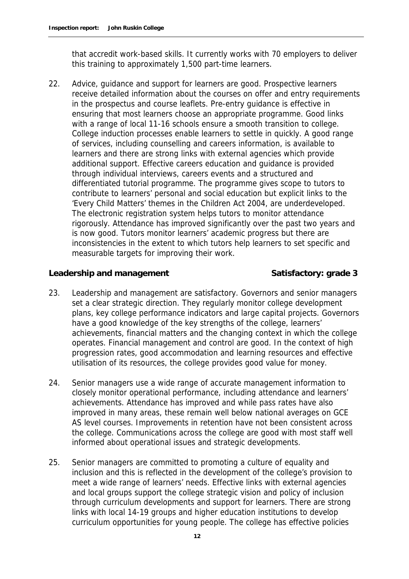that accredit work-based skills. It currently works with 70 employers to deliver this training to approximately 1,500 part-time learners.

22. Advice, guidance and support for learners are good. Prospective learners receive detailed information about the courses on offer and entry requirements in the prospectus and course leaflets. Pre-entry guidance is effective in ensuring that most learners choose an appropriate programme. Good links with a range of local 11-16 schools ensure a smooth transition to college. College induction processes enable learners to settle in quickly. A good range of services, including counselling and careers information, is available to learners and there are strong links with external agencies which provide additional support. Effective careers education and guidance is provided through individual interviews, careers events and a structured and differentiated tutorial programme. The programme gives scope to tutors to contribute to learners' personal and social education but explicit links to the 'Every Child Matters' themes in the Children Act 2004, are underdeveloped. The electronic registration system helps tutors to monitor attendance rigorously. Attendance has improved significantly over the past two years and is now good. Tutors monitor learners' academic progress but there are inconsistencies in the extent to which tutors help learners to set specific and measurable targets for improving their work.

#### Leadership and management **Satisfactory: grade 3**

- 23. Leadership and management are satisfactory. Governors and senior managers set a clear strategic direction. They regularly monitor college development plans, key college performance indicators and large capital projects. Governors have a good knowledge of the key strengths of the college, learners' achievements, financial matters and the changing context in which the college operates. Financial management and control are good. In the context of high progression rates, good accommodation and learning resources and effective utilisation of its resources, the college provides good value for money.
- 24. Senior managers use a wide range of accurate management information to closely monitor operational performance, including attendance and learners' achievements. Attendance has improved and while pass rates have also improved in many areas, these remain well below national averages on GCE AS level courses. Improvements in retention have not been consistent across the college. Communications across the college are good with most staff well informed about operational issues and strategic developments.
- 25. Senior managers are committed to promoting a culture of equality and inclusion and this is reflected in the development of the college's provision to meet a wide range of learners' needs. Effective links with external agencies and local groups support the college strategic vision and policy of inclusion through curriculum developments and support for learners. There are strong links with local 14-19 groups and higher education institutions to develop curriculum opportunities for young people. The college has effective policies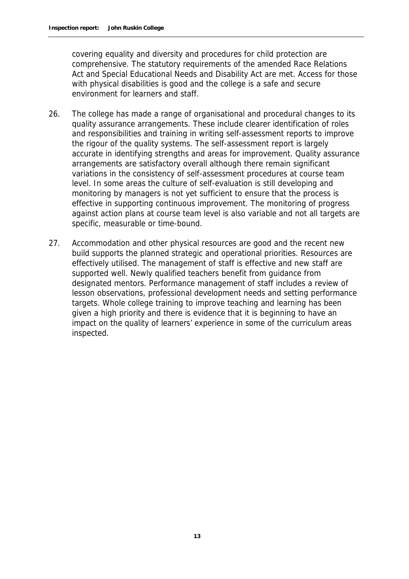covering equality and diversity and procedures for child protection are comprehensive. The statutory requirements of the amended Race Relations Act and Special Educational Needs and Disability Act are met. Access for those with physical disabilities is good and the college is a safe and secure environment for learners and staff.

- 26. The college has made a range of organisational and procedural changes to its quality assurance arrangements. These include clearer identification of roles and responsibilities and training in writing self-assessment reports to improve the rigour of the quality systems. The self-assessment report is largely accurate in identifying strengths and areas for improvement. Quality assurance arrangements are satisfactory overall although there remain significant variations in the consistency of self-assessment procedures at course team level. In some areas the culture of self-evaluation is still developing and monitoring by managers is not yet sufficient to ensure that the process is effective in supporting continuous improvement. The monitoring of progress against action plans at course team level is also variable and not all targets are specific, measurable or time-bound.
- 27. Accommodation and other physical resources are good and the recent new build supports the planned strategic and operational priorities. Resources are effectively utilised. The management of staff is effective and new staff are supported well. Newly qualified teachers benefit from guidance from designated mentors. Performance management of staff includes a review of lesson observations, professional development needs and setting performance targets. Whole college training to improve teaching and learning has been given a high priority and there is evidence that it is beginning to have an impact on the quality of learners' experience in some of the curriculum areas inspected.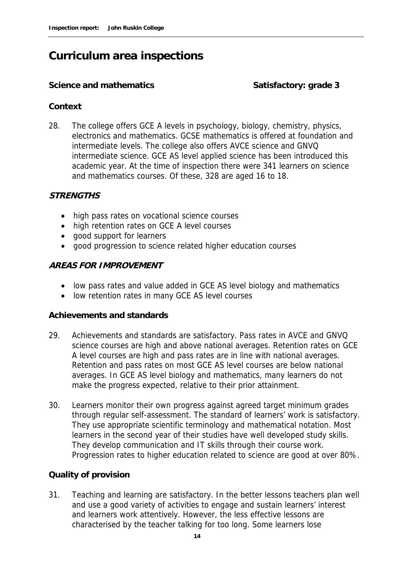### **Curriculum area inspections**

#### Science and mathematics **Science and mathematics** Satisfactory: grade 3

#### **Context**

28. The college offers GCE A levels in psychology, biology, chemistry, physics, electronics and mathematics. GCSE mathematics is offered at foundation and intermediate levels. The college also offers AVCE science and GNVQ intermediate science. GCE AS level applied science has been introduced this academic year. At the time of inspection there were 341 learners on science and mathematics courses. Of these, 328 are aged 16 to 18.

#### **STRENGTHS**

- high pass rates on vocational science courses
- high retention rates on GCE A level courses
- good support for learners
- good progression to science related higher education courses

#### **AREAS FOR IMPROVEMENT**

- low pass rates and value added in GCE AS level biology and mathematics
- low retention rates in many GCE AS level courses

#### **Achievements and standards**

- 29. Achievements and standards are satisfactory. Pass rates in AVCE and GNVQ science courses are high and above national averages. Retention rates on GCE A level courses are high and pass rates are in line with national averages. Retention and pass rates on most GCE AS level courses are below national averages. In GCE AS level biology and mathematics, many learners do not make the progress expected, relative to their prior attainment.
- 30. Learners monitor their own progress against agreed target minimum grades through regular self-assessment. The standard of learners' work is satisfactory. They use appropriate scientific terminology and mathematical notation. Most learners in the second year of their studies have well developed study skills. They develop communication and IT skills through their course work. Progression rates to higher education related to science are good at over 80%.

#### **Quality of provision**

31. Teaching and learning are satisfactory. In the better lessons teachers plan well and use a good variety of activities to engage and sustain learners' interest and learners work attentively. However, the less effective lessons are characterised by the teacher talking for too long. Some learners lose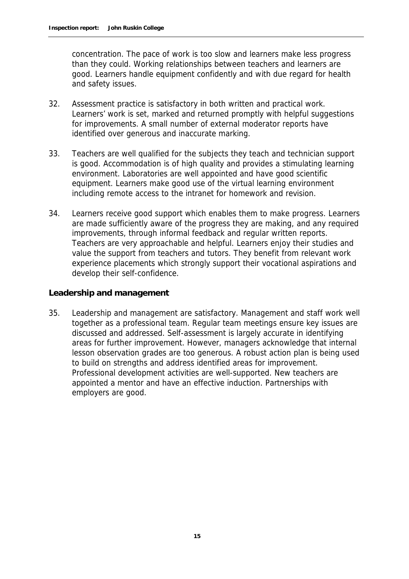concentration. The pace of work is too slow and learners make less progress than they could. Working relationships between teachers and learners are good. Learners handle equipment confidently and with due regard for health and safety issues.

- 32. Assessment practice is satisfactory in both written and practical work. Learners' work is set, marked and returned promptly with helpful suggestions for improvements. A small number of external moderator reports have identified over generous and inaccurate marking.
- 33. Teachers are well qualified for the subjects they teach and technician support is good. Accommodation is of high quality and provides a stimulating learning environment. Laboratories are well appointed and have good scientific equipment. Learners make good use of the virtual learning environment including remote access to the intranet for homework and revision.
- 34. Learners receive good support which enables them to make progress. Learners are made sufficiently aware of the progress they are making, and any required improvements, through informal feedback and regular written reports. Teachers are very approachable and helpful. Learners enjoy their studies and value the support from teachers and tutors. They benefit from relevant work experience placements which strongly support their vocational aspirations and develop their self-confidence.

**Leadership and management**

35. Leadership and management are satisfactory. Management and staff work well together as a professional team. Regular team meetings ensure key issues are discussed and addressed. Self-assessment is largely accurate in identifying areas for further improvement. However, managers acknowledge that internal lesson observation grades are too generous. A robust action plan is being used to build on strengths and address identified areas for improvement. Professional development activities are well-supported. New teachers are appointed a mentor and have an effective induction. Partnerships with employers are good.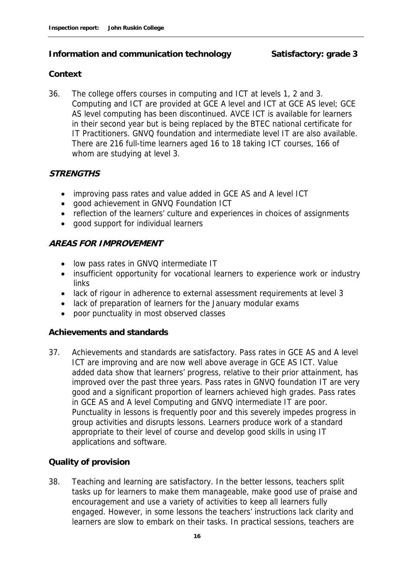#### Information and communication technology **Satisfactory: grade 3**

#### **Context**

36. The college offers courses in computing and ICT at levels 1, 2 and 3. Computing and ICT are provided at GCE A level and ICT at GCE AS level; GCE AS level computing has been discontinued. AVCE ICT is available for learners in their second year but is being replaced by the BTEC national certificate for IT Practitioners. GNVQ foundation and intermediate level IT are also available. There are 216 full-time learners aged 16 to 18 taking ICT courses, 166 of whom are studying at level 3.

#### **STRENGTHS**

- improving pass rates and value added in GCE AS and A level ICT
- good achievement in GNVQ Foundation ICT
- reflection of the learners' culture and experiences in choices of assignments
- good support for individual learners

#### **AREAS FOR IMPROVEMENT**

- low pass rates in GNVQ intermediate IT
- insufficient opportunity for vocational learners to experience work or industry links
- lack of rigour in adherence to external assessment requirements at level 3
- lack of preparation of learners for the January modular exams
- poor punctuality in most observed classes

#### **Achievements and standards**

37. Achievements and standards are satisfactory. Pass rates in GCE AS and A level ICT are improving and are now well above average in GCE AS ICT. Value added data show that learners' progress, relative to their prior attainment, has improved over the past three years. Pass rates in GNVQ foundation IT are very good and a significant proportion of learners achieved high grades. Pass rates in GCE AS and A level Computing and GNVQ intermediate IT are poor. Punctuality in lessons is frequently poor and this severely impedes progress in group activities and disrupts lessons. Learners produce work of a standard appropriate to their level of course and develop good skills in using IT applications and software.

#### **Quality of provision**

38. Teaching and learning are satisfactory. In the better lessons, teachers split tasks up for learners to make them manageable, make good use of praise and encouragement and use a variety of activities to keep all learners fully engaged. However, in some lessons the teachers' instructions lack clarity and learners are slow to embark on their tasks. In practical sessions, teachers are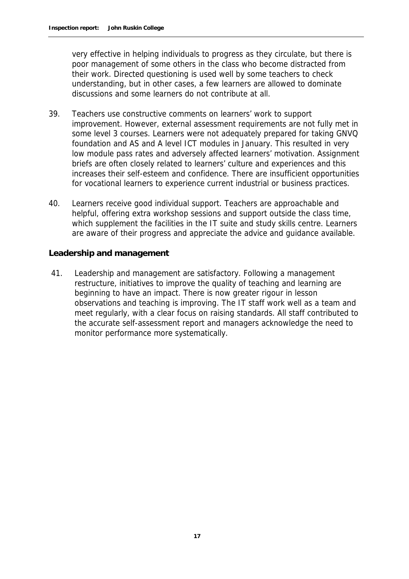very effective in helping individuals to progress as they circulate, but there is poor management of some others in the class who become distracted from their work. Directed questioning is used well by some teachers to check understanding, but in other cases, a few learners are allowed to dominate discussions and some learners do not contribute at all.

- 39. Teachers use constructive comments on learners' work to support improvement. However, external assessment requirements are not fully met in some level 3 courses. Learners were not adequately prepared for taking GNVQ foundation and AS and A level ICT modules in January. This resulted in very low module pass rates and adversely affected learners' motivation. Assignment briefs are often closely related to learners' culture and experiences and this increases their self-esteem and confidence. There are insufficient opportunities for vocational learners to experience current industrial or business practices.
- 40. Learners receive good individual support. Teachers are approachable and helpful, offering extra workshop sessions and support outside the class time, which supplement the facilities in the IT suite and study skills centre. Learners are aware of their progress and appreciate the advice and guidance available.

**Leadership and management**

41. Leadership and management are satisfactory. Following a management restructure, initiatives to improve the quality of teaching and learning are beginning to have an impact. There is now greater rigour in lesson observations and teaching is improving. The IT staff work well as a team and meet regularly, with a clear focus on raising standards. All staff contributed to the accurate self-assessment report and managers acknowledge the need to monitor performance more systematically.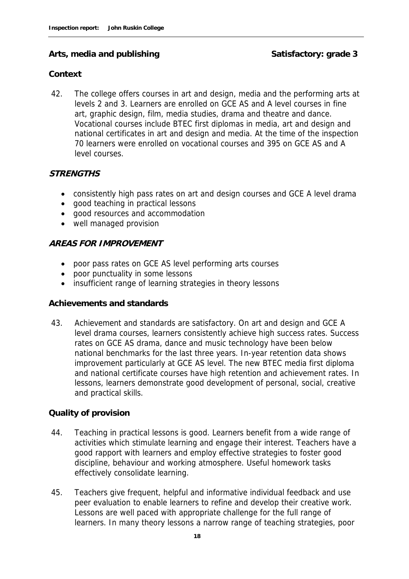#### Arts, media and publishing **Satisfactory: grade 3**

#### **Context**

42. The college offers courses in art and design, media and the performing arts at levels 2 and 3. Learners are enrolled on GCE AS and A level courses in fine art, graphic design, film, media studies, drama and theatre and dance. Vocational courses include BTEC first diplomas in media, art and design and national certificates in art and design and media. At the time of the inspection 70 learners were enrolled on vocational courses and 395 on GCE AS and A level courses.

#### **STRENGTHS**

- consistently high pass rates on art and design courses and GCE A level drama
- good teaching in practical lessons
- good resources and accommodation
- well managed provision

#### **AREAS FOR IMPROVEMENT**

- poor pass rates on GCE AS level performing arts courses
- poor punctuality in some lessons
- insufficient range of learning strategies in theory lessons

#### **Achievements and standards**

43. Achievement and standards are satisfactory. On art and design and GCE A level drama courses, learners consistently achieve high success rates. Success rates on GCE AS drama, dance and music technology have been below national benchmarks for the last three years. In-year retention data shows improvement particularly at GCE AS level. The new BTEC media first diploma and national certificate courses have high retention and achievement rates. In lessons, learners demonstrate good development of personal, social, creative and practical skills.

#### **Quality of provision**

- 44. Teaching in practical lessons is good. Learners benefit from a wide range of activities which stimulate learning and engage their interest. Teachers have a good rapport with learners and employ effective strategies to foster good discipline, behaviour and working atmosphere. Useful homework tasks effectively consolidate learning.
- 45. Teachers give frequent, helpful and informative individual feedback and use peer evaluation to enable learners to refine and develop their creative work. Lessons are well paced with appropriate challenge for the full range of learners. In many theory lessons a narrow range of teaching strategies, poor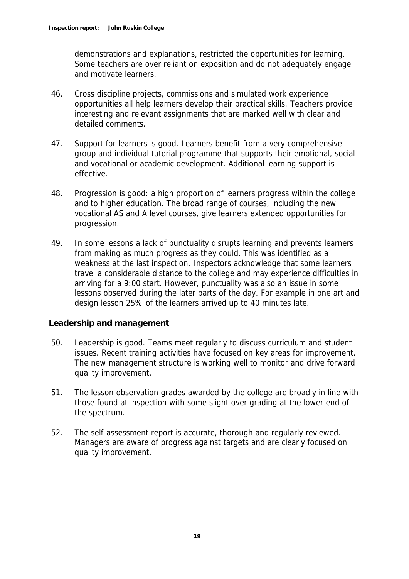demonstrations and explanations, restricted the opportunities for learning. Some teachers are over reliant on exposition and do not adequately engage and motivate learners.

- 46. Cross discipline projects, commissions and simulated work experience opportunities all help learners develop their practical skills. Teachers provide interesting and relevant assignments that are marked well with clear and detailed comments.
- 47. Support for learners is good. Learners benefit from a very comprehensive group and individual tutorial programme that supports their emotional, social and vocational or academic development. Additional learning support is effective.
- 48. Progression is good: a high proportion of learners progress within the college and to higher education. The broad range of courses, including the new vocational AS and A level courses, give learners extended opportunities for progression.
- 49. In some lessons a lack of punctuality disrupts learning and prevents learners from making as much progress as they could. This was identified as a weakness at the last inspection. Inspectors acknowledge that some learners travel a considerable distance to the college and may experience difficulties in arriving for a 9:00 start. However, punctuality was also an issue in some lessons observed during the later parts of the day. For example in one art and design lesson 25% of the learners arrived up to 40 minutes late.

#### **Leadership and management**

- 50. Leadership is good. Teams meet regularly to discuss curriculum and student issues. Recent training activities have focused on key areas for improvement. The new management structure is working well to monitor and drive forward quality improvement.
- 51. The lesson observation grades awarded by the college are broadly in line with those found at inspection with some slight over grading at the lower end of the spectrum.
- 52. The self-assessment report is accurate, thorough and regularly reviewed. Managers are aware of progress against targets and are clearly focused on quality improvement.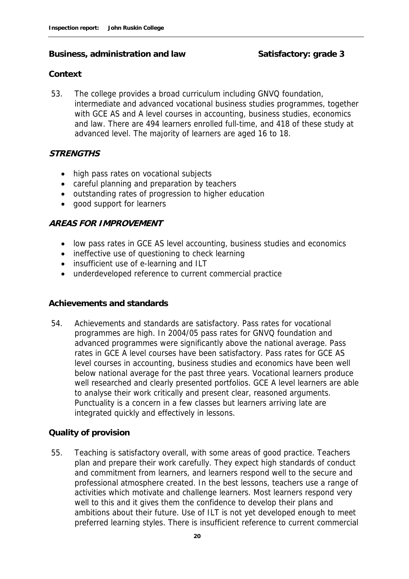#### Business, administration and law Satisfactory: grade 3

#### **Context**

53. The college provides a broad curriculum including GNVQ foundation, intermediate and advanced vocational business studies programmes, together with GCE AS and A level courses in accounting, business studies, economics and law. There are 494 learners enrolled full-time, and 418 of these study at advanced level. The majority of learners are aged 16 to 18.

#### **STRENGTHS**

- high pass rates on vocational subjects
- careful planning and preparation by teachers
- outstanding rates of progression to higher education
- good support for learners

#### **AREAS FOR IMPROVEMENT**

- low pass rates in GCE AS level accounting, business studies and economics
- ineffective use of questioning to check learning
- insufficient use of e-learning and ILT
- underdeveloped reference to current commercial practice

#### **Achievements and standards**

54. Achievements and standards are satisfactory. Pass rates for vocational programmes are high. In 2004/05 pass rates for GNVQ foundation and advanced programmes were significantly above the national average. Pass rates in GCE A level courses have been satisfactory. Pass rates for GCE AS level courses in accounting, business studies and economics have been well below national average for the past three years. Vocational learners produce well researched and clearly presented portfolios. GCE A level learners are able to analyse their work critically and present clear, reasoned arguments. Punctuality is a concern in a few classes but learners arriving late are integrated quickly and effectively in lessons.

#### **Quality of provision**

55. Teaching is satisfactory overall, with some areas of good practice. Teachers plan and prepare their work carefully. They expect high standards of conduct and commitment from learners, and learners respond well to the secure and professional atmosphere created. In the best lessons, teachers use a range of activities which motivate and challenge learners. Most learners respond very well to this and it gives them the confidence to develop their plans and ambitions about their future. Use of ILT is not yet developed enough to meet preferred learning styles. There is insufficient reference to current commercial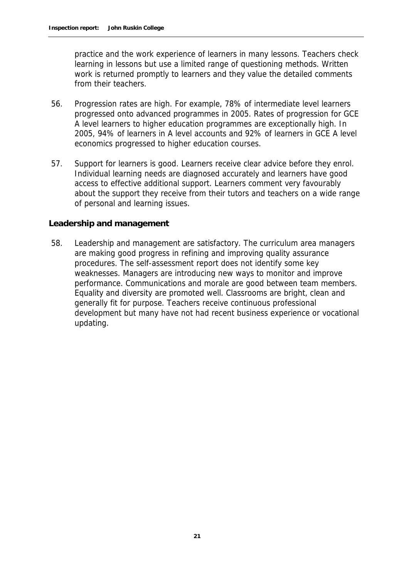practice and the work experience of learners in many lessons. Teachers check learning in lessons but use a limited range of questioning methods. Written work is returned promptly to learners and they value the detailed comments from their teachers.

- 56. Progression rates are high. For example, 78% of intermediate level learners progressed onto advanced programmes in 2005. Rates of progression for GCE A level learners to higher education programmes are exceptionally high. In 2005, 94% of learners in A level accounts and 92% of learners in GCE A level economics progressed to higher education courses.
- 57. Support for learners is good. Learners receive clear advice before they enrol. Individual learning needs are diagnosed accurately and learners have good access to effective additional support. Learners comment very favourably about the support they receive from their tutors and teachers on a wide range of personal and learning issues.

#### **Leadership and management**

58. Leadership and management are satisfactory. The curriculum area managers are making good progress in refining and improving quality assurance procedures. The self-assessment report does not identify some key weaknesses. Managers are introducing new ways to monitor and improve performance. Communications and morale are good between team members. Equality and diversity are promoted well. Classrooms are bright, clean and generally fit for purpose. Teachers receive continuous professional development but many have not had recent business experience or vocational updating.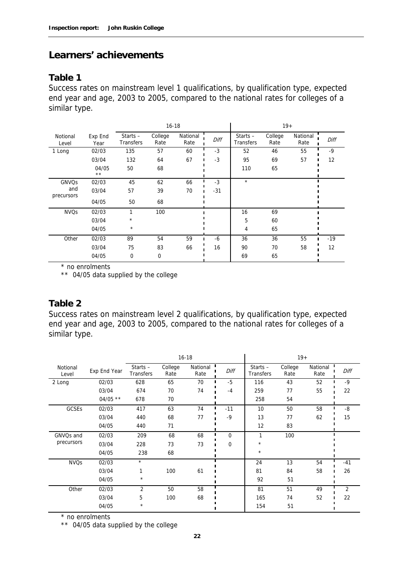#### **Learners' achievements**

#### **Table 1**

Success rates on mainstream level 1 qualifications, by qualification type, expected end year and age, 2003 to 2005, compared to the national rates for colleges of a similar type.

|                   |                       | $16 - 18$                      |                 |                  |       |                         | $19+$           |                  |       |
|-------------------|-----------------------|--------------------------------|-----------------|------------------|-------|-------------------------|-----------------|------------------|-------|
| Notional<br>Level | Exp End<br>Year       | Starts $-$<br><b>Transfers</b> | College<br>Rate | National<br>Rate | Diff  | Starts $-$<br>Transfers | College<br>Rate | National<br>Rate | Diff  |
| 1 Long            | 02/03                 | 135                            | 57              | 60               | $-3$  | 52                      | 46              | 55               | -9    |
|                   | 03/04                 | 132                            | 64              | 67               | $-3$  | 95                      | 69              | 57               | 12    |
|                   | 04/05<br>$\star\star$ | 50                             | 68              |                  |       | 110                     | 65              |                  |       |
| GNVQs             | 02/03                 | 45                             | 62              | 66               | $-3$  | $\star$                 |                 |                  |       |
| and<br>precursors | 03/04                 | 57                             | 39              | 70               | $-31$ |                         |                 |                  |       |
|                   | 04/05                 | 50                             | 68              |                  |       |                         |                 |                  |       |
| <b>NVQs</b>       | 02/03                 |                                | 100             |                  |       | 16                      | 69              |                  |       |
|                   | 03/04                 | $^\star$                       |                 |                  |       | 5                       | 60              |                  |       |
|                   | 04/05                 | $\star$                        |                 |                  |       | 4                       | 65              |                  |       |
| Other             | 02/03                 | 89                             | 54              | 59               | $-6$  | 36                      | 36              | 55               | $-19$ |
|                   | 03/04                 | 75                             | 83              | 66               | 16    | 90                      | 70              | 58               | 12    |
|                   | 04/05                 | 0                              | 0               |                  |       | 69                      | 65              |                  |       |

\* no enrolments

\*\* 04/05 data supplied by the college

#### **Table 2**

Success rates on mainstream level 2 qualifications, by qualification type, expected end year and age, 2003 to 2005, compared to the national rates for colleges of a similar type.

|                   |              | $16 - 18$                      |                 |                  |              | $19+$                          |                 |                  |       |
|-------------------|--------------|--------------------------------|-----------------|------------------|--------------|--------------------------------|-----------------|------------------|-------|
| Notional<br>Level | Exp End Year | Starts $-$<br><b>Transfers</b> | College<br>Rate | National<br>Rate | Diff         | Starts $-$<br><b>Transfers</b> | College<br>Rate | National<br>Rate | Diff  |
| 2 Long            | 02/03        | 628                            | 65              | 70               | $-5$         | 116                            | 43              | 52               | $-9$  |
|                   | 03/04        | 674                            | 70              | 74               | $-4$         | 259                            | 77              | 55               | 22    |
|                   | $04/05$ **   | 678                            | 70              |                  |              | 258                            | 54              |                  |       |
| GCSEs             | 02/03        | 417                            | 63              | 74               | $-11$        | 10                             | 50              | 58               | $-8$  |
|                   | 03/04        | 440                            | 68              | 77               | $-9$         | 13                             | 77              | 62               | 15    |
|                   | 04/05        | 440                            | 71              |                  |              | 12                             | 83              |                  |       |
| GNVQs and         | 02/03        | 209                            | 68              | 68               | $\mathbf{0}$ | 1                              | 100             |                  |       |
| precursors        | 03/04        | 228                            | 73              | 73               | $\Omega$     | $^\star$                       |                 |                  |       |
|                   | 04/05        | 238                            | 68              |                  |              | $\star$                        |                 |                  |       |
| <b>NVQs</b>       | 02/03        | $\star$                        |                 |                  |              | 24                             | 13              | 54               | $-41$ |
|                   | 03/04        | 1                              | 100             | 61               |              | 81                             | 84              | 58               | 26    |
|                   | 04/05        | $^\star$                       |                 |                  |              | 92                             | 51              |                  |       |
| Other             | 02/03        | $\overline{2}$                 | 50              | 58               |              | 81                             | 51              | 49               | 2     |
|                   | 03/04        | 5                              | 100             | 68               |              | 165                            | 74              | 52               | 22    |
|                   | 04/05        | $^\star$                       |                 |                  |              | 154                            | 51              |                  |       |

\* no enrolments

\*\* 04/05 data supplied by the college